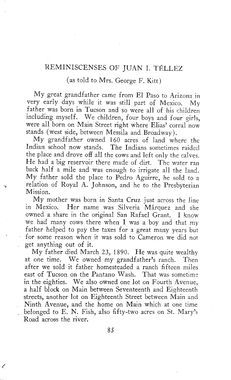## REMINISCENSES OF JUAN I. TÉLLEZ

(as told to Mrs. George F. Kitt)

My great grandfather came from El Paso to Arizona in very early days while it was still part of Mexico. My father was born in Tucson and so were all of his children including myself. We children, four boys and four girls, were all born on Main Street right where Elias' corral now stands (west side, between Messila and Broadway).

My grandfather owned 160 acres of land where the Indian school now stands. The Indians sometimes raided the place and drove off all the cows and left only the calves. He had a big reservoir there made of dirt. The water ran back half a mile and was enough to irrigate all the land. My father sold the place to Pedro Aguirre, he sold to a relation of Royal A. Johnson, and he to the Presbyterian Mission.

My mother was born in Santa Cruz just across the line in Mexico. Her name was Silveria Marquez and she owned a share in the original San Rafael Grant. I know we had many cows there when I was a boy and that my father helped to pay the taxes for a great many years but for some reason when it was sold to Cameron we did not get anything out of it.

My father died March 23, 1890. He was quite wealthy at one time. We owned my grandfather's ranch. Then after we sold it father homesteaded a ranch fifteen miles east of Tucson on the Pantano Wash. That was sometime in the eighties. We also owned one lot on Fourth Avenue, a half block on Main between Seventeenth and Eighteenth streets, another lot on Eighteenth Street between Main and Ninth Avenue, and the home on Main which at one time belonged to E. N. Fish, also fifty-two acres on St. Mary's Road across the river.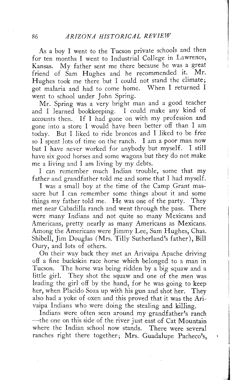As a boy I went to the Tucson private schools and then for ten months I went to Industrial College in Lawrence, Kansas. My father sent me there because he was a great<br>friend of Sam Hughes and he recommended it. Mr. friend of Sam Hughes and he recommended it. Hughes took me there but I could not stand the climate;<br>got malaria and had to come home. When I returned I got malaria and had to come home. went to school under John Spring.

Mr. Spring was a very bright man and a good teacher and I learned bookkeeping. I could make any kind of accounts then. If I had gone on with my profession and gone into a store I would have been better off than I am today. But I liked to ride broncos and I liked to be free so I spent lots of time on the ranch. I am a poor man now but I have never worked for anybody but myself. I still have six good horses and some wagons but they do not make me a living and I am living by my debts.

I can remember much Indian trouble, some that my father and grandfather told me and some that I had myself.

I was a small boy at the time of the Camp Grant massacre but I can remember some things about it and some things my father told me. He was one of the party. They met near Cabadilla ranch and went through the pass. There were many Indians and not quite so many Mexicans and Americans, pretty nearly as many Americans as Mexicans. Among the Americans were Jimmy Lee, Sam Hughes, Chas. Shibell, Jim Douglas (Mrs. Tilly Sutherland's father), Bill Oury, and lots of others.

On their way back they met an Arivaipa Apache driving off a fine buckskin race horse which belonged to a man in Tucson. The horse was being ridden by a big squaw and a little girl. They shot the squaw and one of the men was leading the girl off by the hand, for he was going to keep her, when Placido Soza up with his gun and shot her. They also had a yoke of oxen and this proved that it was the Arivaipa Indians who were doing the stealing and killing.

Indians were often seen around my grandfather's ranch —the one on this side of the river just east of Cat Mountain where the Indian school now stands. There were several ranches right there together; Mrs. Guadalupe Pacheco's,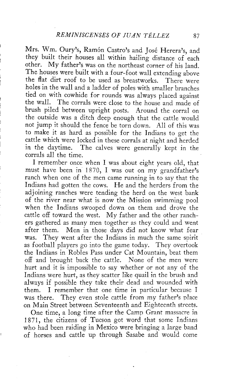Mrs. Wm. Oury's, Ramón Castro's and José Herera's, and they built their houses all within hailing distance of each other. My father's was on the northeast corner of his land. The houses were built with a four-foot wall extending above the flat dirt roof to be used as breastworks. There were holes in the wall and a ladder of poles with smaller branches tied on with cowhide for rounds was always placed against the wall. The corrals were close to the house and made of brush piled between upright posts. Around the corral on the outside was a ditch deep enough that the cattle would not jump it should the fence be torn down. All of this was to make it as hard as possible for the Indians to get the cattle which were locked in these corrals at night and herded in the daytime. The calves were generally kept in the corrals all the time.

I remember once when I was about eight years old, that must have been in 1870, I was out on my grandfather's ranch when one of the men came running in to say that the Indians had gotten the cows. He and the herders from the adjoining ranches were tending the herd on the west bank of the river near what is now the Mission swimming pool when the Indians swooped down on them and drove the cattle off toward the west. My father and the other ranchers gathered as many men together as they could and went after them. Men in those days did not know what fear was. They went after the Indians in much the same spirit as football players go into the game today. They overtook the Indians in Robles Pass under Cat Mountain, beat them off and brought back the cattle. None of the men were hurt and it is impossible to say whether or not any of the Indians were hurt, as they scatter like quail in the brush and always if possible they take their dead and wounded with them. I remember that one time in particular because I was there. They even stole cattle from my father's place on Main Street between Seventeenth and Eighteenth streets.

One time, a long time after the Camp Grant massacre in 1871, the citizens of Tucson got word that some Indians who had been raiding in Mexico were bringing a large band of horses and cattle up through Sasabe and would come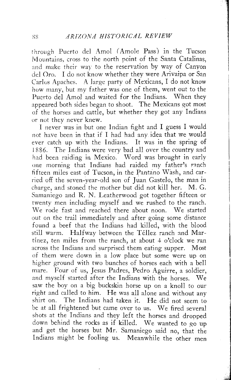through Puerto del Amol (Amole Pass) in the Tucson Mountains, cross to the north point of the Santa Catalinas, and make their way to the reservation by way of Canyon del Oro. I do not know whether they were Arivaipa or San Carlos Apaches. A large party of Mexicans, I do not know how many, but my father was one of them, went out to the Puerto del Amol and waited for the Indians. When they appeared both sides began to shoot. The Mexicans got most of the horses and cattle, but whether they got any Indians or not they never knew.

I never was in but one Indian fight and I guess I would not have been in that if I had had any idea that we would ever catch up with the Indians. It was in the spring of 1886. The Indians were very bad all over the country and had been raiding in Mexico. Word was brought in early one morning that Indians had raided my father's ranch fifteen miles east of Tucson, in the Pantano Wash, and carried off the seven-year-old son of Juan Gastelo, the man in charge, and stoned the mother but did not kill her. M. G. Samaniego and R. N. Leatherwood got together fifteen or twenty men including myself and we rushed to the ranch. We rode fast and reached there about noon. We started out on the trail immediately and after going some distance found a beef that the Indians had killed, with the blood still warm. Halfway between the Téllez ranch and Martinez, ten miles from the ranch, at about 4 o'clock we ran across the Indians and surprised them eating supper. Most of them were down in a low place but some were up on higher ground with two bunches of horses each with a bell mare. Four of us, Jesus Padres, Pedro Aguirre, a soldier, and myself started after the Indians with the horses. We saw the boy on a big buckskin horse up on a knoll to our right and called to him. He was all alone and without any shirt on. The Indians had taken it. He did not seem to be at all frightened but came over to us. We fired several shots at the Indians and they left the horses and dropped down behind the rocks as if killed. We wanted to go up and get the horses but Mr. Samaniego said no, that the Indians might be fooling us. Meanwhile the other men